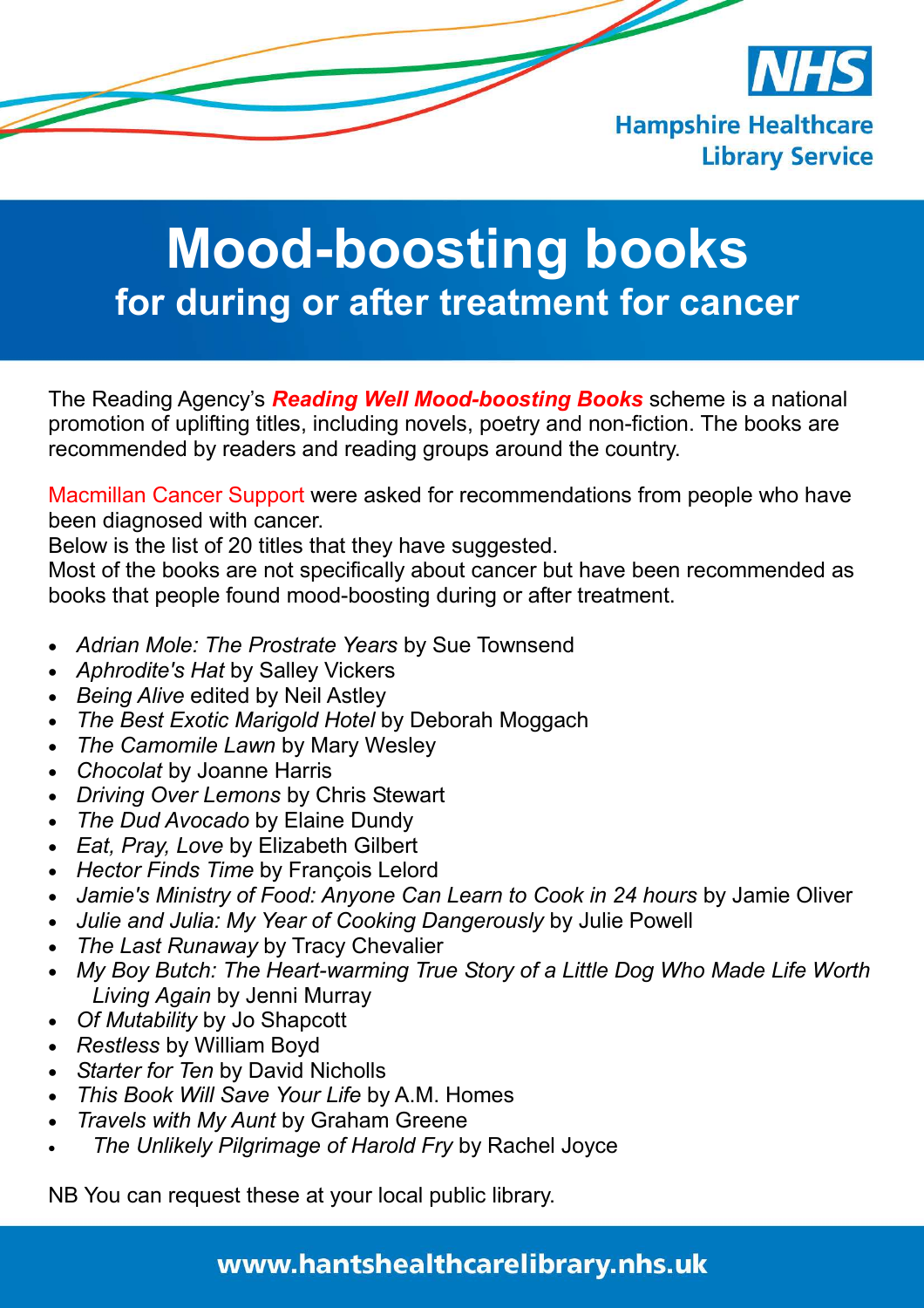

# **Mood-boosting books for during or after treatment for cancer**

The Reading Agency's *Reading Well Mood-boosting Books* scheme is a national promotion of uplifting titles, including novels, poetry and non-fiction. The books are recommended by readers and reading groups around the country.

Macmillan Cancer Support were asked for recommendations from people who have been diagnosed with cancer.

Below is the list of 20 titles that they have suggested.

Most of the books are not specifically about cancer but have been recommended as books that people found mood-boosting during or after treatment.

- *Adrian Mole: The Prostrate Years* by Sue Townsend
- *Aphrodite's Hat* by Salley Vickers
- *Being Alive* edited by Neil Astley
- *The Best Exotic Marigold Hotel* by Deborah Moggach
- *The Camomile Lawn* by Mary Wesley
- *Chocolat* by Joanne Harris
- *Driving Over Lemons* by Chris Stewart
- *The Dud Avocado* by Elaine Dundy
- *Eat, Pray, Love* by Elizabeth Gilbert
- *Hector Finds Time* by François Lelord
- *Jamie's Ministry of Food: Anyone Can Learn to Cook in 24 hours* by Jamie Oliver
- *Julie and Julia: My Year of Cooking Dangerously* by Julie Powell
- *The Last Runaway* by Tracy Chevalier
- *My Boy Butch: The Heart-warming True Story of a Little Dog Who Made Life Worth Living Again* by Jenni Murray
- *Of Mutability* by Jo Shapcott
- *Restless* by William Boyd
- *Starter for Ten* by David Nicholls
- *This Book Will Save Your Life* by A.M. Homes
- *Travels with My Aunt* by Graham Greene
- *The Unlikely Pilgrimage of Harold Fry* by Rachel Joyce

NB You can request these at your local public library.

## www.hantshealthcarelibrary.nhs.uk